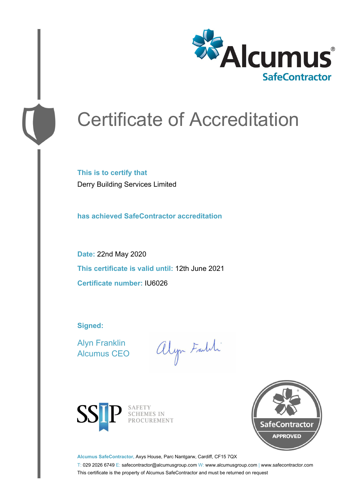

# Certificate of Accreditation

**This is to certify that** Derry Building Services Limited

**has achieved SafeContractor accreditation**

**Date:** 22nd May 2020 **This certificate is valid until:** 12th June 2021 **Certificate number:** IU6026

**Signed:**

Alyn Franklin Alcumus CEO

alyn Faith



SAFETY<br>SCHEMES IN PROCUREMENT



**Alcumus SafeContractor,** Axys House, Parc Nantgarw, Cardiff, CF15 7QX

T: 029 2026 6749 E: safecontractor@alcumusgroup.com W: www.alcumusgroup.com | www.safecontractor.com This certificate is the property of Alcumus SafeContractor and must be returned on request